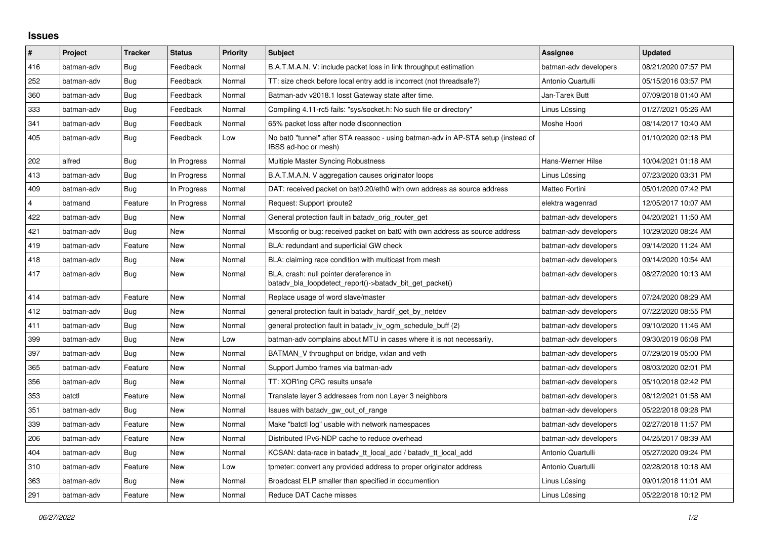## **Issues**

| $\pmb{\sharp}$          | <b>Project</b> | <b>Tracker</b> | <b>Status</b> | <b>Priority</b> | <b>Subject</b>                                                                                            | Assignee              | <b>Updated</b>      |
|-------------------------|----------------|----------------|---------------|-----------------|-----------------------------------------------------------------------------------------------------------|-----------------------|---------------------|
| 416                     | batman-adv     | Bug            | Feedback      | Normal          | B.A.T.M.A.N. V: include packet loss in link throughput estimation                                         | batman-adv developers | 08/21/2020 07:57 PM |
| 252                     | batman-adv     | Bug            | Feedback      | Normal          | TT: size check before local entry add is incorrect (not threadsafe?)                                      | Antonio Quartulli     | 05/15/2016 03:57 PM |
| 360                     | batman-adv     | Bug            | Feedback      | Normal          | Batman-adv v2018.1 losst Gateway state after time.                                                        | Jan-Tarek Butt        | 07/09/2018 01:40 AM |
| 333                     | batman-adv     | <b>Bug</b>     | Feedback      | Normal          | Compiling 4.11-rc5 fails: "sys/socket.h: No such file or directory"                                       | Linus Lüssing         | 01/27/2021 05:26 AM |
| 341                     | batman-adv     | <b>Bug</b>     | Feedback      | Normal          | 65% packet loss after node disconnection                                                                  | Moshe Hoori           | 08/14/2017 10:40 AM |
| 405                     | batman-adv     | Bug            | Feedback      | Low             | No bat0 "tunnel" after STA reassoc - using batman-adv in AP-STA setup (instead of<br>IBSS ad-hoc or mesh) |                       | 01/10/2020 02:18 PM |
| 202                     | alfred         | <b>Bug</b>     | In Progress   | Normal          | Multiple Master Syncing Robustness                                                                        | Hans-Werner Hilse     | 10/04/2021 01:18 AM |
| 413                     | batman-adv     | Bug            | In Progress   | Normal          | B.A.T.M.A.N. V aggregation causes originator loops                                                        | Linus Lüssing         | 07/23/2020 03:31 PM |
| 409                     | batman-adv     | Bug            | In Progress   | Normal          | DAT: received packet on bat0.20/eth0 with own address as source address                                   | Matteo Fortini        | 05/01/2020 07:42 PM |
| $\overline{\mathbf{4}}$ | batmand        | Feature        | In Progress   | Normal          | Request: Support iproute2                                                                                 | elektra wagenrad      | 12/05/2017 10:07 AM |
| 422                     | batman-adv     | Bug            | <b>New</b>    | Normal          | General protection fault in batady orig router get                                                        | batman-adv developers | 04/20/2021 11:50 AM |
| 421                     | batman-adv     | Bug            | New           | Normal          | Misconfig or bug: received packet on bat0 with own address as source address                              | batman-adv developers | 10/29/2020 08:24 AM |
| 419                     | batman-adv     | Feature        | New           | Normal          | BLA: redundant and superficial GW check                                                                   | batman-adv developers | 09/14/2020 11:24 AM |
| 418                     | batman-adv     | <b>Bug</b>     | New           | Normal          | BLA: claiming race condition with multicast from mesh                                                     | batman-adv developers | 09/14/2020 10:54 AM |
| 417                     | batman-adv     | Bug            | New           | Normal          | BLA, crash: null pointer dereference in<br>batady bla loopdetect report()->batady bit get packet()        | batman-adv developers | 08/27/2020 10:13 AM |
| 414                     | batman-adv     | Feature        | New           | Normal          | Replace usage of word slave/master                                                                        | batman-adv developers | 07/24/2020 08:29 AM |
| 412                     | batman-adv     | Bug            | New           | Normal          | general protection fault in batady_hardif_get_by_netdev                                                   | batman-adv developers | 07/22/2020 08:55 PM |
| 411                     | batman-adv     | Bug            | <b>New</b>    | Normal          | general protection fault in batady iv ogm schedule buff (2)                                               | batman-adv developers | 09/10/2020 11:46 AM |
| 399                     | batman-adv     | Bug            | New           | Low             | batman-adv complains about MTU in cases where it is not necessarily.                                      | batman-adv developers | 09/30/2019 06:08 PM |
| 397                     | batman-adv     | Bug            | <b>New</b>    | Normal          | BATMAN V throughput on bridge, vxlan and veth                                                             | batman-adv developers | 07/29/2019 05:00 PM |
| 365                     | batman-adv     | Feature        | <b>New</b>    | Normal          | Support Jumbo frames via batman-adv                                                                       | batman-adv developers | 08/03/2020 02:01 PM |
| 356                     | batman-adv     | Bug            | New           | Normal          | TT: XOR'ing CRC results unsafe                                                                            | batman-adv developers | 05/10/2018 02:42 PM |
| 353                     | batctl         | Feature        | New           | Normal          | Translate layer 3 addresses from non Layer 3 neighbors                                                    | batman-adv developers | 08/12/2021 01:58 AM |
| 351                     | batman-adv     | <b>Bug</b>     | New           | Normal          | Issues with batady gw out of range                                                                        | batman-adv developers | 05/22/2018 09:28 PM |
| 339                     | batman-adv     | Feature        | New           | Normal          | Make "batctl log" usable with network namespaces                                                          | batman-adv developers | 02/27/2018 11:57 PM |
| 206                     | batman-adv     | Feature        | New           | Normal          | Distributed IPv6-NDP cache to reduce overhead                                                             | batman-adv developers | 04/25/2017 08:39 AM |
| 404                     | batman-adv     | <b>Bug</b>     | <b>New</b>    | Normal          | KCSAN: data-race in batady tt local add / batady tt local add                                             | Antonio Quartulli     | 05/27/2020 09:24 PM |
| 310                     | batman-adv     | Feature        | New           | Low             | tpmeter: convert any provided address to proper originator address                                        | Antonio Quartulli     | 02/28/2018 10:18 AM |
| 363                     | batman-adv     | Bug            | New           | Normal          | Broadcast ELP smaller than specified in documention                                                       | Linus Lüssing         | 09/01/2018 11:01 AM |
| 291                     | batman-adv     | Feature        | New           | Normal          | Reduce DAT Cache misses                                                                                   | Linus Lüssing         | 05/22/2018 10:12 PM |